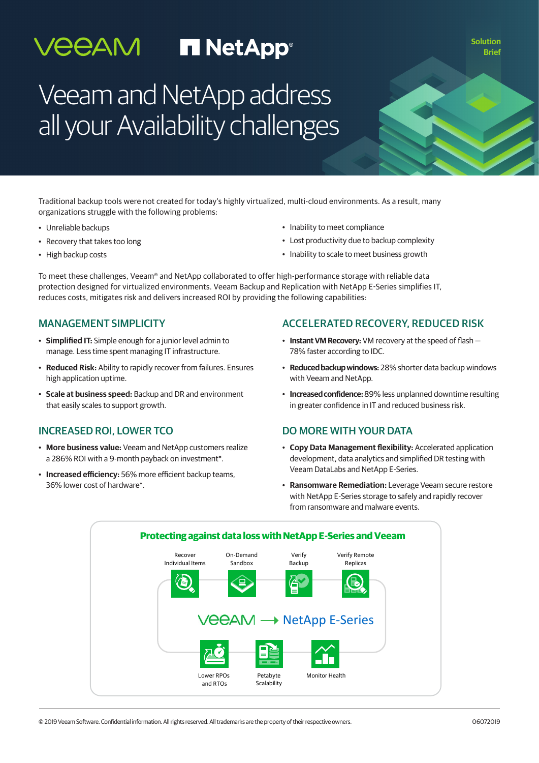# **VEEAM FINETAPP®**

**Solution Brief**

# Veeam and NetApp address all your Availability challenges

Traditional backup tools were not created for today's highly virtualized, multi-cloud environments. As a result, many organizations struggle with the following problems:

- Unreliable backups
- Recovery that takes too long
- High backup costs
- Inability to meet compliance
- Lost productivity due to backup complexity
- Inability to scale to meet business growth

To meet these challenges, Veeam® and NetApp collaborated to offer high-performance storage with reliable data protection designed for virtualized environments. Veeam Backup and Replication with NetApp E-Series simplifies IT, reduces costs, mitigates risk and delivers increased ROI by providing the following capabilities:

#### MANAGEMENT SIMPLICITY

- **Simplified IT:** Simple enough for a junior level admin to manage. Less time spent managing IT infrastructure.
- **Reduced Risk:** Ability to rapidly recover from failures. Ensures high application uptime.
- **Scale at business speed:** Backup and DR and environment that easily scales to support growth.

#### INCREASED ROI, LOWER TCO

- **More business value:** Veeam and NetApp customers realize a 286% ROI with a 9-month payback on investment\*.
- **Increased efficiency:** 56% more efficient backup teams, 36% lower cost of hardware\*.

#### ACCELERATED RECOVERY, REDUCED RISK

- **Instant VM Recovery:** VM recovery at the speed of flash 78% faster according to IDC.
- **Reduced backup windows:** 28% shorter data backup windows with Veeam and NetApp.
- **Increased confidence:** 89% less unplanned downtime resulting in greater confidence in IT and reduced business risk.

#### DO MORE WITH YOUR DATA

- **Copy Data Management flexibility:** Accelerated application development, data analytics and simplified DR testing with Veeam DataLabs and NetApp E-Series.
- **Ransomware Remediation:** Leverage Veeam secure restore with NetApp E-Series storage to safely and rapidly recover from ransomware and malware events.